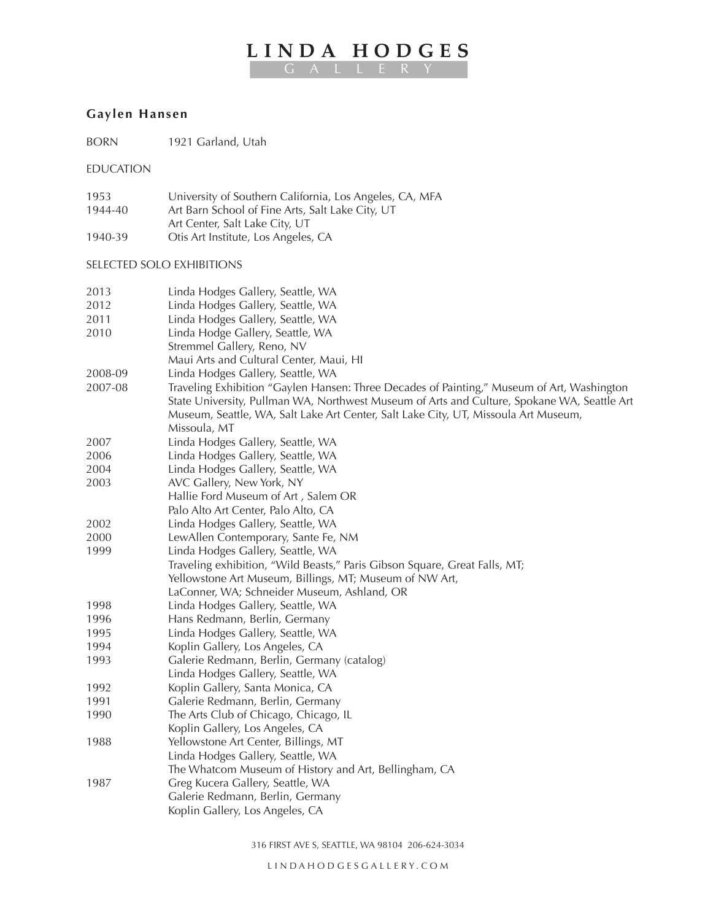# **LINDA HODGES**

GALLERY

## **Gaylen Hansen**

BORN 1921 Garland, Utah

EDUCATION

| 1953    | University of Southern California, Los Angeles, CA, MFA |
|---------|---------------------------------------------------------|
| 1944-40 | Art Barn School of Fine Arts, Salt Lake City, UT        |
|         | Art Center, Salt Lake City, UT                          |
| 1940-39 | Otis Art Institute, Los Angeles, CA                     |

#### SELECTED SOLO EXHIBITIONS

| 2013                                     | Linda Hodges Gallery, Seattle, WA                                                                                                                                                                                                                                                                |
|------------------------------------------|--------------------------------------------------------------------------------------------------------------------------------------------------------------------------------------------------------------------------------------------------------------------------------------------------|
| 2012                                     | Linda Hodges Gallery, Seattle, WA                                                                                                                                                                                                                                                                |
| 2011                                     | Linda Hodges Gallery, Seattle, WA                                                                                                                                                                                                                                                                |
| Linda Hodge Gallery, Seattle, WA<br>2010 |                                                                                                                                                                                                                                                                                                  |
|                                          | Stremmel Gallery, Reno, NV                                                                                                                                                                                                                                                                       |
|                                          | Maui Arts and Cultural Center, Maui, HI                                                                                                                                                                                                                                                          |
| 2008-09                                  | Linda Hodges Gallery, Seattle, WA                                                                                                                                                                                                                                                                |
| 2007-08                                  | Traveling Exhibition "Gaylen Hansen: Three Decades of Painting," Museum of Art, Washington<br>State University, Pullman WA, Northwest Museum of Arts and Culture, Spokane WA, Seattle Art<br>Museum, Seattle, WA, Salt Lake Art Center, Salt Lake City, UT, Missoula Art Museum,<br>Missoula, MT |
| 2007                                     | Linda Hodges Gallery, Seattle, WA                                                                                                                                                                                                                                                                |
| 2006                                     | Linda Hodges Gallery, Seattle, WA                                                                                                                                                                                                                                                                |
| 2004                                     | Linda Hodges Gallery, Seattle, WA                                                                                                                                                                                                                                                                |
| 2003                                     | AVC Gallery, New York, NY                                                                                                                                                                                                                                                                        |
|                                          | Hallie Ford Museum of Art, Salem OR                                                                                                                                                                                                                                                              |
|                                          | Palo Alto Art Center, Palo Alto, CA                                                                                                                                                                                                                                                              |
| 2002                                     | Linda Hodges Gallery, Seattle, WA                                                                                                                                                                                                                                                                |
| 2000                                     | LewAllen Contemporary, Sante Fe, NM                                                                                                                                                                                                                                                              |
| 1999                                     | Linda Hodges Gallery, Seattle, WA                                                                                                                                                                                                                                                                |
|                                          | Traveling exhibition, "Wild Beasts," Paris Gibson Square, Great Falls, MT;                                                                                                                                                                                                                       |
|                                          | Yellowstone Art Museum, Billings, MT; Museum of NW Art,                                                                                                                                                                                                                                          |
|                                          | LaConner, WA; Schneider Museum, Ashland, OR                                                                                                                                                                                                                                                      |
| 1998                                     | Linda Hodges Gallery, Seattle, WA                                                                                                                                                                                                                                                                |
| 1996                                     | Hans Redmann, Berlin, Germany                                                                                                                                                                                                                                                                    |
| 1995                                     | Linda Hodges Gallery, Seattle, WA                                                                                                                                                                                                                                                                |
| 1994                                     | Koplin Gallery, Los Angeles, CA                                                                                                                                                                                                                                                                  |
| 1993                                     | Galerie Redmann, Berlin, Germany (catalog)                                                                                                                                                                                                                                                       |
|                                          | Linda Hodges Gallery, Seattle, WA                                                                                                                                                                                                                                                                |
| 1992                                     | Koplin Gallery, Santa Monica, CA                                                                                                                                                                                                                                                                 |
| 1991                                     | Galerie Redmann, Berlin, Germany                                                                                                                                                                                                                                                                 |
| 1990                                     | The Arts Club of Chicago, Chicago, IL                                                                                                                                                                                                                                                            |
|                                          | Koplin Gallery, Los Angeles, CA                                                                                                                                                                                                                                                                  |
| 1988                                     | Yellowstone Art Center, Billings, MT                                                                                                                                                                                                                                                             |
|                                          | Linda Hodges Gallery, Seattle, WA                                                                                                                                                                                                                                                                |
|                                          | The Whatcom Museum of History and Art, Bellingham, CA                                                                                                                                                                                                                                            |
| 1987                                     | Greg Kucera Gallery, Seattle, WA                                                                                                                                                                                                                                                                 |
|                                          | Galerie Redmann, Berlin, Germany                                                                                                                                                                                                                                                                 |
|                                          | Koplin Gallery, Los Angeles, CA                                                                                                                                                                                                                                                                  |
|                                          |                                                                                                                                                                                                                                                                                                  |

316 FIRST AVE S, SEATTLE, WA 98104 206-624-3034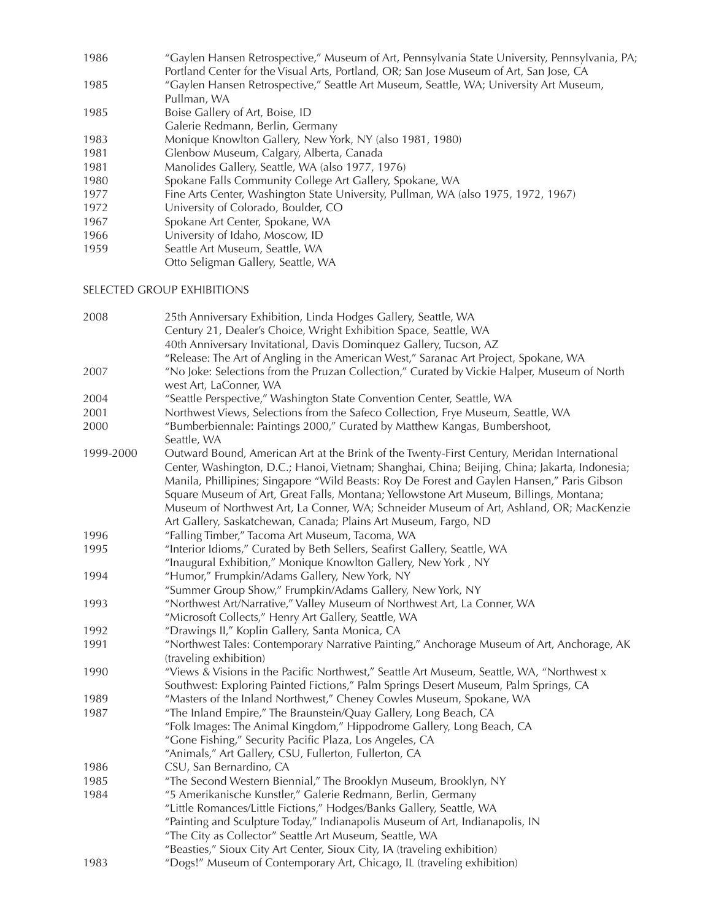- 1986 "Gaylen Hansen Retrospective," Museum of Art, Pennsylvania State University, Pennsylvania, PA; Portland Center for the Visual Arts, Portland, OR; San Jose Museum of Art, San Jose, CA
- 1985 "Gaylen Hansen Retrospective," Seattle Art Museum, Seattle, WA; University Art Museum,
- Pullman, WA 1985 Boise Gallery of Art, Boise, ID
- Galerie Redmann, Berlin, Germany
- 1983 Monique Knowlton Gallery, New York, NY (also 1981, 1980)
- 1981 Glenbow Museum, Calgary, Alberta, Canada
- 1981 Manolides Gallery, Seattle, WA (also 1977, 1976)
- 1980 Spokane Falls Community College Art Gallery, Spokane, WA
- 1977 Fine Arts Center, Washington State University, Pullman, WA (also 1975, 1972, 1967)
- 1972 University of Colorado, Boulder, CO
- 1967 Spokane Art Center, Spokane, WA
- 1966 University of Idaho, Moscow, ID
- 1959 Seattle Art Museum, Seattle, WA
- Otto Seligman Gallery, Seattle, WA

#### SELECTED GROUP EXHIBITIONS

| 2008      | 25th Anniversary Exhibition, Linda Hodges Gallery, Seattle, WA                                 |
|-----------|------------------------------------------------------------------------------------------------|
|           | Century 21, Dealer's Choice, Wright Exhibition Space, Seattle, WA                              |
|           | 40th Anniversary Invitational, Davis Dominquez Gallery, Tucson, AZ                             |
|           | "Release: The Art of Angling in the American West," Saranac Art Project, Spokane, WA           |
| 2007      | "No Joke: Selections from the Pruzan Collection," Curated by Vickie Halper, Museum of North    |
|           | west Art, LaConner, WA                                                                         |
| 2004      | "Seattle Perspective," Washington State Convention Center, Seattle, WA                         |
| 2001      | Northwest Views, Selections from the Safeco Collection, Frye Museum, Seattle, WA               |
| 2000      | "Bumberbiennale: Paintings 2000," Curated by Matthew Kangas, Bumbershoot,                      |
|           | Seattle, WA                                                                                    |
| 1999-2000 | Outward Bound, American Art at the Brink of the Twenty-First Century, Meridan International    |
|           | Center, Washington, D.C.; Hanoi, Vietnam; Shanghai, China; Beijing, China; Jakarta, Indonesia; |
|           | Manila, Phillipines; Singapore "Wild Beasts: Roy De Forest and Gaylen Hansen," Paris Gibson    |
|           | Square Museum of Art, Great Falls, Montana; Yellowstone Art Museum, Billings, Montana;         |
|           | Museum of Northwest Art, La Conner, WA; Schneider Museum of Art, Ashland, OR; MacKenzie        |
|           | Art Gallery, Saskatchewan, Canada; Plains Art Museum, Fargo, ND                                |
| 1996      | "Falling Timber," Tacoma Art Museum, Tacoma, WA                                                |
| 1995      | "Interior Idioms," Curated by Beth Sellers, Seafirst Gallery, Seattle, WA                      |
|           | "Inaugural Exhibition," Monique Knowlton Gallery, New York, NY                                 |
| 1994      | "Humor," Frumpkin/Adams Gallery, New York, NY                                                  |
|           | "Summer Group Show," Frumpkin/Adams Gallery, New York, NY                                      |
| 1993      | "Northwest Art/Narrative," Valley Museum of Northwest Art, La Conner, WA                       |
|           | "Microsoft Collects," Henry Art Gallery, Seattle, WA                                           |
| 1992      | "Drawings II," Koplin Gallery, Santa Monica, CA                                                |
| 1991      | "Northwest Tales: Contemporary Narrative Painting," Anchorage Museum of Art, Anchorage, AK     |
|           | (traveling exhibition)                                                                         |
| 1990      | "Views & Visions in the Pacific Northwest," Seattle Art Museum, Seattle, WA, "Northwest x      |
|           | Southwest: Exploring Painted Fictions," Palm Springs Desert Museum, Palm Springs, CA           |
| 1989      | "Masters of the Inland Northwest," Cheney Cowles Museum, Spokane, WA                           |
| 1987      | "The Inland Empire," The Braunstein/Quay Gallery, Long Beach, CA                               |
|           | "Folk Images: The Animal Kingdom," Hippodrome Gallery, Long Beach, CA                          |
|           | "Gone Fishing," Security Pacific Plaza, Los Angeles, CA                                        |
|           | "Animals," Art Gallery, CSU, Fullerton, Fullerton, CA                                          |
| 1986      | CSU, San Bernardino, CA                                                                        |
| 1985      | "The Second Western Biennial," The Brooklyn Museum, Brooklyn, NY                               |
| 1984      | "5 Amerikanische Kunstler," Galerie Redmann, Berlin, Germany                                   |
|           | "Little Romances/Little Fictions," Hodges/Banks Gallery, Seattle, WA                           |
|           | "Painting and Sculpture Today," Indianapolis Museum of Art, Indianapolis, IN                   |
|           | "The City as Collector" Seattle Art Museum, Seattle, WA                                        |
|           | "Beasties," Sioux City Art Center, Sioux City, IA (traveling exhibition)                       |
| 1983      | "Dogs!" Museum of Contemporary Art, Chicago, IL (traveling exhibition)                         |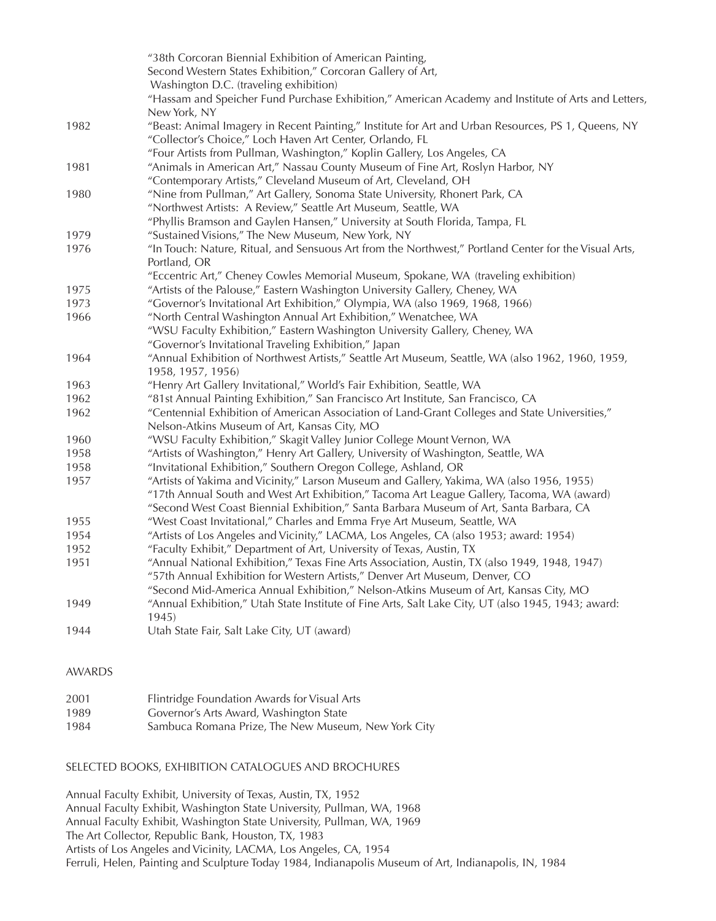|      | "38th Corcoran Biennial Exhibition of American Painting,                                                                                                                                                                                                                           |
|------|------------------------------------------------------------------------------------------------------------------------------------------------------------------------------------------------------------------------------------------------------------------------------------|
|      | Second Western States Exhibition," Corcoran Gallery of Art,                                                                                                                                                                                                                        |
|      | Washington D.C. (traveling exhibition)                                                                                                                                                                                                                                             |
|      | "Hassam and Speicher Fund Purchase Exhibition," American Academy and Institute of Arts and Letters,<br>New York, NY                                                                                                                                                                |
| 1982 | "Beast: Animal Imagery in Recent Painting," Institute for Art and Urban Resources, PS 1, Queens, NY<br>"Collector's Choice," Loch Haven Art Center, Orlando, FL                                                                                                                    |
|      | "Four Artists from Pullman, Washington," Koplin Gallery, Los Angeles, CA                                                                                                                                                                                                           |
| 1981 | "Animals in American Art," Nassau County Museum of Fine Art, Roslyn Harbor, NY                                                                                                                                                                                                     |
|      | "Contemporary Artists," Cleveland Museum of Art, Cleveland, OH                                                                                                                                                                                                                     |
| 1980 | "Nine from Pullman," Art Gallery, Sonoma State University, Rhonert Park, CA                                                                                                                                                                                                        |
|      | "Northwest Artists: A Review," Seattle Art Museum, Seattle, WA                                                                                                                                                                                                                     |
|      | "Phyllis Bramson and Gaylen Hansen," University at South Florida, Tampa, FL                                                                                                                                                                                                        |
| 1979 | "Sustained Visions," The New Museum, New York, NY                                                                                                                                                                                                                                  |
| 1976 | "In Touch: Nature, Ritual, and Sensuous Art from the Northwest," Portland Center for the Visual Arts,                                                                                                                                                                              |
|      | Portland, OR                                                                                                                                                                                                                                                                       |
|      | "Eccentric Art," Cheney Cowles Memorial Museum, Spokane, WA (traveling exhibition)                                                                                                                                                                                                 |
| 1975 | "Artists of the Palouse," Eastern Washington University Gallery, Cheney, WA                                                                                                                                                                                                        |
| 1973 | "Governor's Invitational Art Exhibition," Olympia, WA (also 1969, 1968, 1966)                                                                                                                                                                                                      |
| 1966 | "North Central Washington Annual Art Exhibition," Wenatchee, WA                                                                                                                                                                                                                    |
|      | "WSU Faculty Exhibition," Eastern Washington University Gallery, Cheney, WA                                                                                                                                                                                                        |
|      | "Governor's Invitational Traveling Exhibition," Japan                                                                                                                                                                                                                              |
| 1964 | "Annual Exhibition of Northwest Artists," Seattle Art Museum, Seattle, WA (also 1962, 1960, 1959,<br>1958, 1957, 1956)                                                                                                                                                             |
| 1963 | "Henry Art Gallery Invitational," World's Fair Exhibition, Seattle, WA                                                                                                                                                                                                             |
| 1962 | "81st Annual Painting Exhibition," San Francisco Art Institute, San Francisco, CA                                                                                                                                                                                                  |
| 1962 | "Centennial Exhibition of American Association of Land-Grant Colleges and State Universities,"<br>Nelson-Atkins Museum of Art, Kansas City, MO                                                                                                                                     |
| 1960 | "WSU Faculty Exhibition," Skagit Valley Junior College Mount Vernon, WA                                                                                                                                                                                                            |
| 1958 | "Artists of Washington," Henry Art Gallery, University of Washington, Seattle, WA                                                                                                                                                                                                  |
| 1958 | "Invitational Exhibition," Southern Oregon College, Ashland, OR                                                                                                                                                                                                                    |
| 1957 | "Artists of Yakima and Vicinity," Larson Museum and Gallery, Yakima, WA (also 1956, 1955)<br>"17th Annual South and West Art Exhibition," Tacoma Art League Gallery, Tacoma, WA (award)<br>"Second West Coast Biennial Exhibition," Santa Barbara Museum of Art, Santa Barbara, CA |
| 1955 | "West Coast Invitational," Charles and Emma Frye Art Museum, Seattle, WA                                                                                                                                                                                                           |
| 1954 | "Artists of Los Angeles and Vicinity," LACMA, Los Angeles, CA (also 1953; award: 1954)                                                                                                                                                                                             |
| 1952 | "Faculty Exhibit," Department of Art, University of Texas, Austin, TX                                                                                                                                                                                                              |
| 1951 | "Annual National Exhibition," Texas Fine Arts Association, Austin, TX (also 1949, 1948, 1947)<br>"57th Annual Exhibition for Western Artists," Denver Art Museum, Denver, CO<br>"Second Mid-America Annual Exhibition," Nelson-Atkins Museum of Art, Kansas City, MO               |
| 1949 | "Annual Exhibition," Utah State Institute of Fine Arts, Salt Lake City, UT (also 1945, 1943; award:<br>1945)                                                                                                                                                                       |
| 1944 | Utah State Fair, Salt Lake City, UT (award)                                                                                                                                                                                                                                        |

#### AWARDS

| 2001 | Flintridge Foundation Awards for Visual Arts        |
|------|-----------------------------------------------------|
| 1989 | Governor's Arts Award, Washington State             |
| 1984 | Sambuca Romana Prize, The New Museum, New York City |

### SELECTED BOOKS, EXHIBITION CATALOGUES AND BROCHURES

Annual Faculty Exhibit, University of Texas, Austin, TX, 1952 Annual Faculty Exhibit, Washington State University, Pullman, WA, 1968 Annual Faculty Exhibit, Washington State University, Pullman, WA, 1969 The Art Collector, Republic Bank, Houston, TX, 1983 Artists of Los Angeles and Vicinity, LACMA, Los Angeles, CA, 1954 Ferruli, Helen, Painting and Sculpture Today 1984, Indianapolis Museum of Art, Indianapolis, IN, 1984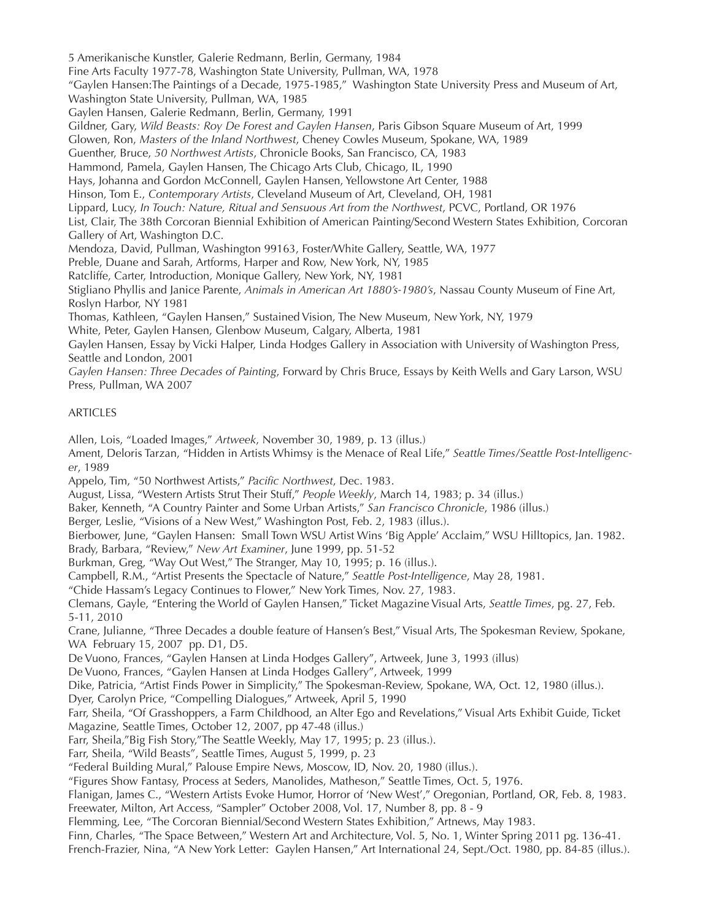5 Amerikanische Kunstler, Galerie Redmann, Berlin, Germany, 1984 Fine Arts Faculty 1977-78, Washington State University, Pullman, WA, 1978 "Gaylen Hansen:The Paintings of a Decade, 1975-1985," Washington State University Press and Museum of Art, Washington State University, Pullman, WA, 1985 Gaylen Hansen, Galerie Redmann, Berlin, Germany, 1991 Gildner, Gary, *Wild Beasts: Roy De Forest and Gaylen Hansen*, Paris Gibson Square Museum of Art, 1999 Glowen, Ron, *Masters of the Inland Northwest*, Cheney Cowles Museum, Spokane, WA, 1989 Guenther, Bruce, *50 Northwest Artists*, Chronicle Books, San Francisco, CA, 1983 Hammond, Pamela, Gaylen Hansen, The Chicago Arts Club, Chicago, IL, 1990 Hays, Johanna and Gordon McConnell, Gaylen Hansen, Yellowstone Art Center, 1988 Hinson, Tom E., *Contemporary Artists*, Cleveland Museum of Art, Cleveland, OH, 1981 Lippard, Lucy, *In Touch: Nature, Ritual and Sensuous Art from the Northwest*, PCVC, Portland, OR 1976 List, Clair, The 38th Corcoran Biennial Exhibition of American Painting/Second Western States Exhibition, Corcoran Gallery of Art, Washington D.C. Mendoza, David, Pullman, Washington 99163, Foster/White Gallery, Seattle, WA, 1977 Preble, Duane and Sarah, Artforms, Harper and Row, New York, NY, 1985 Ratcliffe, Carter, Introduction, Monique Gallery, New York, NY, 1981 Stigliano Phyllis and Janice Parente, *Animals in American Art 1880's-1980's*, Nassau County Museum of Fine Art, Roslyn Harbor, NY 1981 Thomas, Kathleen, "Gaylen Hansen," Sustained Vision, The New Museum, New York, NY, 1979 White, Peter, Gaylen Hansen, Glenbow Museum, Calgary, Alberta, 1981 Gaylen Hansen, Essay by Vicki Halper, Linda Hodges Gallery in Association with University of Washington Press, Seattle and London, 2001 *Gaylen Hansen: Three Decades of Painting*, Forward by Chris Bruce, Essays by Keith Wells and Gary Larson, WSU Press, Pullman, WA 2007

#### ARTICLES

Allen, Lois, "Loaded Images," *Artweek*, November 30, 1989, p. 13 (illus.)

Ament, Deloris Tarzan, "Hidden in Artists Whimsy is the Menace of Real Life," *Seattle Times/Seattle Post-Intelligencer*, 1989

Appelo, Tim, "50 Northwest Artists," *Pacific Northwest*, Dec. 1983.

August, Lissa, "Western Artists Strut Their Stuff," *People Weekly*, March 14, 1983; p. 34 (illus.)

Baker, Kenneth, "A Country Painter and Some Urban Artists," *San Francisco Chronicle*, 1986 (illus.)

Berger, Leslie, "Visions of a New West," Washington Post, Feb. 2, 1983 (illus.).

Bierbower, June, "Gaylen Hansen: Small Town WSU Artist Wins 'Big Apple' Acclaim," WSU Hilltopics, Jan. 1982. Brady, Barbara, "Review," *New Art Examiner*, June 1999, pp. 51-52

Burkman, Greg, "Way Out West," The Stranger, May 10, 1995; p. 16 (illus.).

Campbell, R.M., "Artist Presents the Spectacle of Nature," *Seattle Post-Intelligence*, May 28, 1981.

"Chide Hassam's Legacy Continues to Flower," New York Times, Nov. 27, 1983.

Clemans, Gayle, "Entering the World of Gaylen Hansen," Ticket Magazine Visual Arts, *Seattle Times*, pg. 27, Feb. 5-11, 2010

Crane, Julianne, "Three Decades a double feature of Hansen's Best," Visual Arts, The Spokesman Review, Spokane, WA February 15, 2007 pp. D1, D5.

De Vuono, Frances, "Gaylen Hansen at Linda Hodges Gallery", Artweek, June 3, 1993 (illus)

De Vuono, Frances, "Gaylen Hansen at Linda Hodges Gallery", Artweek, 1999

Dike, Patricia, "Artist Finds Power in Simplicity," The Spokesman-Review, Spokane, WA, Oct. 12, 1980 (illus.).

Dyer, Carolyn Price, "Compelling Dialogues," Artweek, April 5, 1990

Farr, Sheila, "Of Grasshoppers, a Farm Childhood, an Alter Ego and Revelations," Visual Arts Exhibit Guide, Ticket Magazine, Seattle Times, October 12, 2007, pp 47-48 (illus.)

Farr, Sheila,"Big Fish Story,"The Seattle Weekly, May 17, 1995; p. 23 (illus.).

Farr, Sheila, "Wild Beasts", Seattle Times, August 5, 1999, p. 23

"Federal Building Mural," Palouse Empire News, Moscow, ID, Nov. 20, 1980 (illus.).

"Figures Show Fantasy, Process at Seders, Manolides, Matheson," Seattle Times, Oct. 5, 1976.

Flanigan, James C., "Western Artists Evoke Humor, Horror of 'New West'," Oregonian, Portland, OR, Feb. 8, 1983.

Freewater, Milton, Art Access, "Sampler" October 2008, Vol. 17, Number 8, pp. 8 - 9

Flemming, Lee, "The Corcoran Biennial/Second Western States Exhibition," Artnews, May 1983.

Finn, Charles, "The Space Between," Western Art and Architecture, Vol. 5, No. 1, Winter Spring 2011 pg. 136-41.

French-Frazier, Nina, "A New York Letter: Gaylen Hansen," Art International 24, Sept./Oct. 1980, pp. 84-85 (illus.).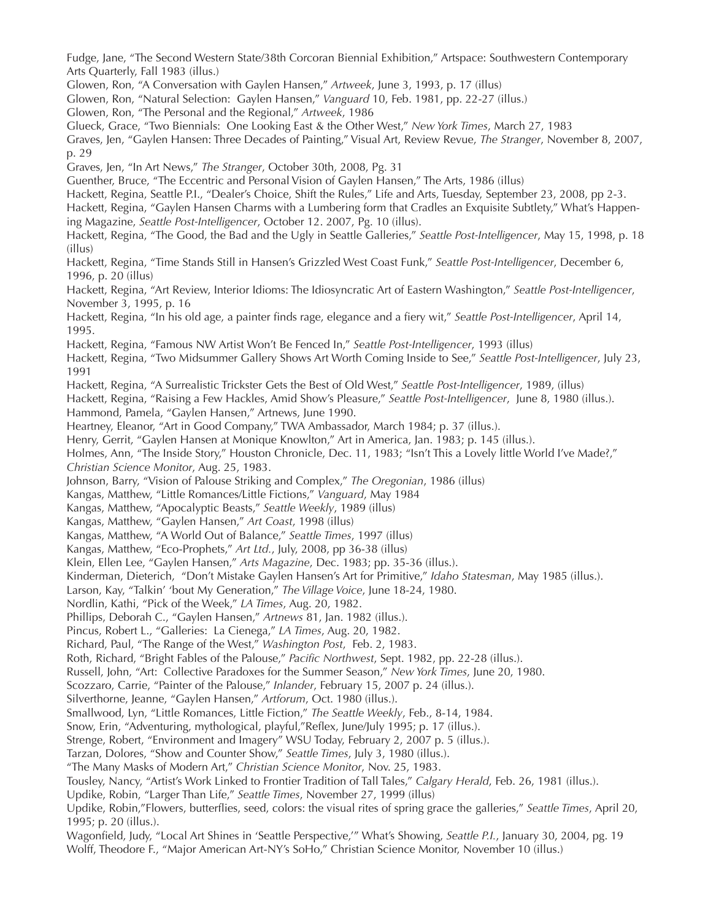Fudge, Jane, "The Second Western State/38th Corcoran Biennial Exhibition," Artspace: Southwestern Contemporary Arts Quarterly, Fall 1983 (illus.)

Glowen, Ron, "A Conversation with Gaylen Hansen," *Artweek*, June 3, 1993, p. 17 (illus)

Glowen, Ron, "Natural Selection: Gaylen Hansen," *Vanguard* 10, Feb. 1981, pp. 22-27 (illus.)

Glowen, Ron, "The Personal and the Regional," *Artweek*, 1986

Glueck, Grace, "Two Biennials: One Looking East & the Other West," *New York Times*, March 27, 1983

Graves, Jen, "Gaylen Hansen: Three Decades of Painting," Visual Art, Review Revue, *The Stranger*, November 8, 2007, p. 29

Graves, Jen, "In Art News," *The Stranger*, October 30th, 2008, Pg. 31

Guenther, Bruce, "The Eccentric and Personal Vision of Gaylen Hansen," The Arts, 1986 (illus)

Hackett, Regina, Seattle P.I., "Dealer's Choice, Shift the Rules," Life and Arts, Tuesday, September 23, 2008, pp 2-3.

Hackett, Regina, "Gaylen Hansen Charms with a Lumbering form that Cradles an Exquisite Subtlety," What's Happening Magazine, *Seattle Post-Intelligencer*, October 12. 2007, Pg. 10 (illus).

Hackett, Regina, "The Good, the Bad and the Ugly in Seattle Galleries," *Seattle Post-Intelligencer*, May 15, 1998, p. 18 (illus)

Hackett, Regina, "Time Stands Still in Hansen's Grizzled West Coast Funk," *Seattle Post-Intelligencer*, December 6, 1996, p. 20 (illus)

Hackett, Regina, "Art Review, Interior Idioms: The Idiosyncratic Art of Eastern Washington," *Seattle Post-Intelligencer*, November 3, 1995, p. 16

Hackett, Regina, "In his old age, a painter finds rage, elegance and a fiery wit," *Seattle Post-Intelligencer*, April 14, 1995.

Hackett, Regina, "Famous NW Artist Won't Be Fenced In," *Seattle Post-Intelligencer*, 1993 (illus)

Hackett, Regina, "Two Midsummer Gallery Shows Art Worth Coming Inside to See," *Seattle Post-Intelligencer*, July 23, 1991

Hackett, Regina, "A Surrealistic Trickster Gets the Best of Old West," *Seattle Post-Intelligencer*, 1989, (illus)

Hackett, Regina, "Raising a Few Hackles, Amid Show's Pleasure," *Seattle Post-Intelligencer*, June 8, 1980 (illus.).

Hammond, Pamela, "Gaylen Hansen," Artnews, June 1990.

Heartney, Eleanor, "Art in Good Company," TWA Ambassador, March 1984; p. 37 (illus.).

Henry, Gerrit, "Gaylen Hansen at Monique Knowlton," Art in America, Jan. 1983; p. 145 (illus.).

Holmes, Ann, "The Inside Story," Houston Chronicle, Dec. 11, 1983; "Isn't This a Lovely little World I've Made?," *Christian Science Monitor*, Aug. 25, 1983.

Johnson, Barry, "Vision of Palouse Striking and Complex," *The Oregonian*, 1986 (illus)

Kangas, Matthew, "Little Romances/Little Fictions," *Vanguard*, May 1984

Kangas, Matthew, "Apocalyptic Beasts," *Seattle Weekly*, 1989 (illus)

Kangas, Matthew, "Gaylen Hansen," *Art Coast*, 1998 (illus)

Kangas, Matthew, "A World Out of Balance," *Seattle Times*, 1997 (illus)

Kangas, Matthew, "Eco-Prophets," *Art Ltd.*, July, 2008, pp 36-38 (illus)

Klein, Ellen Lee, "Gaylen Hansen," *Arts Magazine*, Dec. 1983; pp. 35-36 (illus.).

Kinderman, Dieterich, "Don't Mistake Gaylen Hansen's Art for Primitive," *Idaho Statesman*, May 1985 (illus.).

Larson, Kay, "Talkin' 'bout My Generation," *The Village Voice*, June 18-24, 1980.

Nordlin, Kathi, "Pick of the Week," *LA Times*, Aug. 20, 1982.

Phillips, Deborah C., "Gaylen Hansen," *Artnews* 81, Jan. 1982 (illus.).

Pincus, Robert L., "Galleries: La Cienega," *LA Times*, Aug. 20, 1982.

Richard, Paul, "The Range of the West," *Washington Post*, Feb. 2, 1983.

Roth, Richard, "Bright Fables of the Palouse," *Pacific Northwest*, Sept. 1982, pp. 22-28 (illus.).

Russell, John, "Art: Collective Paradoxes for the Summer Season," *New York Times*, June 20, 1980.

Scozzaro, Carrie, "Painter of the Palouse," *Inlander*, February 15, 2007 p. 24 (illus.).

Silverthorne, Jeanne, "Gaylen Hansen," *Artforum*, Oct. 1980 (illus.).

Smallwood, Lyn, "Little Romances, Little Fiction," *The Seattle Weekly*, Feb., 8-14, 1984.

Snow, Erin, "Adventuring, mythological, playful,"Reflex, June/July 1995; p. 17 (illus.).

Strenge, Robert, "Environment and Imagery" WSU Today, February 2, 2007 p. 5 (illus.).

Tarzan, Dolores, "Show and Counter Show," *Seattle Times*, July 3, 1980 (illus.).

"The Many Masks of Modern Art," *Christian Science Monitor*, Nov. 25, 1983.

Tousley, Nancy, "Artist's Work Linked to Frontier Tradition of Tall Tales," *Calgary Herald*, Feb. 26, 1981 (illus.).

Updike, Robin, "Larger Than Life," *Seattle Times*, November 27, 1999 (illus)

Updike, Robin,"Flowers, butterflies, seed, colors: the visual rites of spring grace the galleries," *Seattle Times*, April 20, 1995; p. 20 (illus.).

Wagonfield, Judy, "Local Art Shines in 'Seattle Perspective,'" What's Showing, *Seattle P.I.*, January 30, 2004, pg. 19 Wolff, Theodore F., "Major American Art-NY's SoHo," Christian Science Monitor, November 10 (illus.)